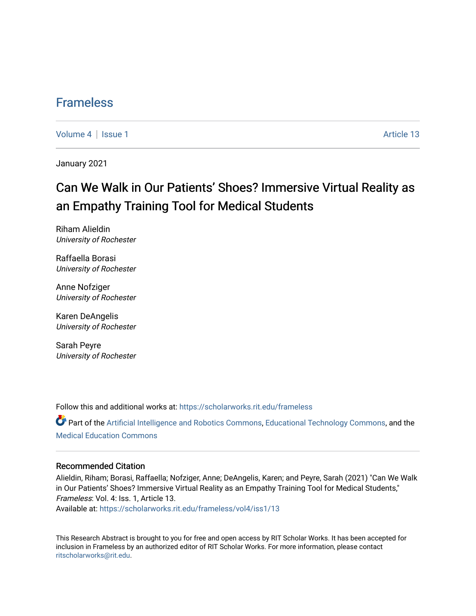### [Frameless](https://scholarworks.rit.edu/frameless)

[Volume 4](https://scholarworks.rit.edu/frameless/vol4) | [Issue 1](https://scholarworks.rit.edu/frameless/vol4/iss1) Article 13

January 2021

## Can We Walk in Our Patients' Shoes? Immersive Virtual Reality as an Empathy Training Tool for Medical Students

Riham Alieldin University of Rochester

Raffaella Borasi University of Rochester

Anne Nofziger University of Rochester

Karen DeAngelis University of Rochester

Sarah Peyre University of Rochester

Follow this and additional works at: [https://scholarworks.rit.edu/frameless](https://scholarworks.rit.edu/frameless?utm_source=scholarworks.rit.edu%2Fframeless%2Fvol4%2Fiss1%2F13&utm_medium=PDF&utm_campaign=PDFCoverPages)

Part of the [Artificial Intelligence and Robotics Commons](https://network.bepress.com/hgg/discipline/143?utm_source=scholarworks.rit.edu%2Fframeless%2Fvol4%2Fiss1%2F13&utm_medium=PDF&utm_campaign=PDFCoverPages), [Educational Technology Commons,](https://network.bepress.com/hgg/discipline/1415?utm_source=scholarworks.rit.edu%2Fframeless%2Fvol4%2Fiss1%2F13&utm_medium=PDF&utm_campaign=PDFCoverPages) and the [Medical Education Commons](https://network.bepress.com/hgg/discipline/1125?utm_source=scholarworks.rit.edu%2Fframeless%2Fvol4%2Fiss1%2F13&utm_medium=PDF&utm_campaign=PDFCoverPages) 

#### Recommended Citation

Alieldin, Riham; Borasi, Raffaella; Nofziger, Anne; DeAngelis, Karen; and Peyre, Sarah (2021) "Can We Walk in Our Patients' Shoes? Immersive Virtual Reality as an Empathy Training Tool for Medical Students," Frameless: Vol. 4: Iss. 1, Article 13. Available at: [https://scholarworks.rit.edu/frameless/vol4/iss1/13](https://scholarworks.rit.edu/frameless/vol4/iss1/13?utm_source=scholarworks.rit.edu%2Fframeless%2Fvol4%2Fiss1%2F13&utm_medium=PDF&utm_campaign=PDFCoverPages) 

This Research Abstract is brought to you for free and open access by RIT Scholar Works. It has been accepted for inclusion in Frameless by an authorized editor of RIT Scholar Works. For more information, please contact [ritscholarworks@rit.edu](mailto:ritscholarworks@rit.edu).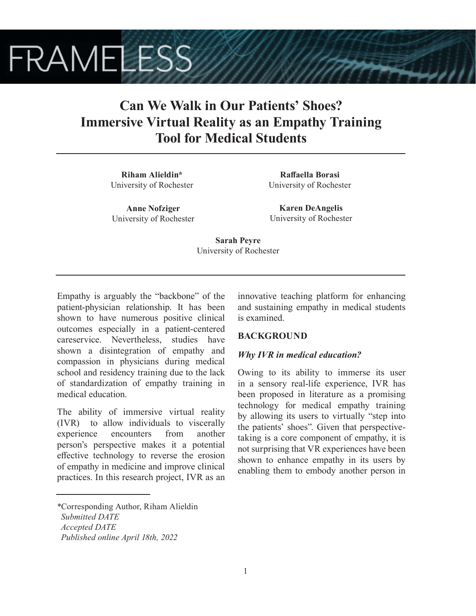# **FRAMELESS**

## **Can We Walk in Our Patients' Shoes? Immersive Virtual Reality as an Empathy Training Tool for Medical Students**

**Riham Alieldin\*** University of Rochester

**Anne Nofziger** University of Rochester

**Raffaella Borasi** University of Rochester

**Karen DeAngelis** University of Rochester

**Sarah Peyre** University of Rochester

Empathy is arguably the "backbone" of the patient-physician relationship. It has been shown to have numerous positive clinical outcomes especially in a patient-centered careservice. Nevertheless, studies have shown a disintegration of empathy and compassion in physicians during medical school and residency training due to the lack of standardization of empathy training in medical education.

The ability of immersive virtual reality (IVR) to allow individuals to viscerally experience encounters from another person's perspective makes it a potential effective technology to reverse the erosion of empathy in medicine and improve clinical practices. In this research project, IVR as an

*\**Corresponding Author, Riham Alieldin

innovative teaching platform for enhancing and sustaining empathy in medical students is examined.

#### **BACKGROUND**

#### *Why IVR in medical education?*

Owing to its ability to immerse its user in a sensory real-life experience, IVR has been proposed in literature as a promising technology for medical empathy training by allowing its users to virtually "step into the patients' shoes". Given that perspectivetaking is a core component of empathy, it is not surprising that VR experiences have been shown to enhance empathy in its users by enabling them to embody another person in

*Submitted DATE*

*Accepted DATE*

*Published online April 18th, 2022*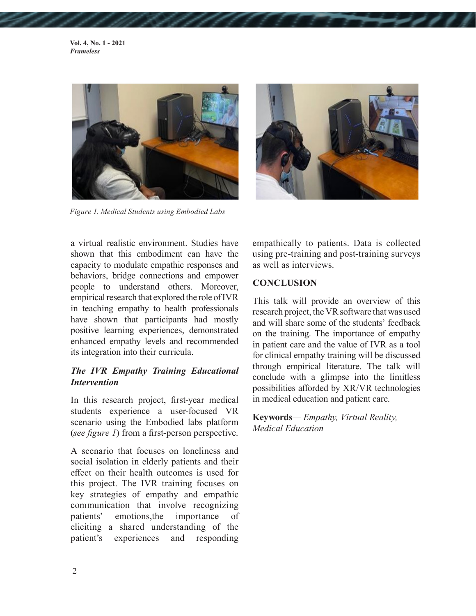**Vol. 4, No. 1 - 2021** *Frameless*



*Figure 1. Medical Students using Embodied Labs*



a virtual realistic environment. Studies have shown that this embodiment can have the capacity to modulate empathic responses and behaviors, bridge connections and empower people to understand others. Moreover, empirical research that explored the role of IVR in teaching empathy to health professionals have shown that participants had mostly positive learning experiences, demonstrated enhanced empathy levels and recommended its integration into their curricula.

#### *The IVR Empathy Training Educational Intervention*

In this research project, first-year medical students experience a user-focused VR scenario using the Embodied labs platform (*see figure 1*) from a first-person perspective.

A scenario that focuses on loneliness and social isolation in elderly patients and their effect on their health outcomes is used for this project. The IVR training focuses on key strategies of empathy and empathic communication that involve recognizing patients' emotions,the importance of eliciting a shared understanding of the patient's experiences and responding empathically to patients. Data is collected using pre-training and post-training surveys as well as interviews.

#### **CONCLUSION**

This talk will provide an overview of this research project, the VR software that was used and will share some of the students' feedback on the training. The importance of empathy in patient care and the value of IVR as a tool for clinical empathy training will be discussed through empirical literature. The talk will conclude with a glimpse into the limitless possibilities afforded by XR/VR technologies in medical education and patient care.

**Keywords***— Empathy, Virtual Reality, Medical Education*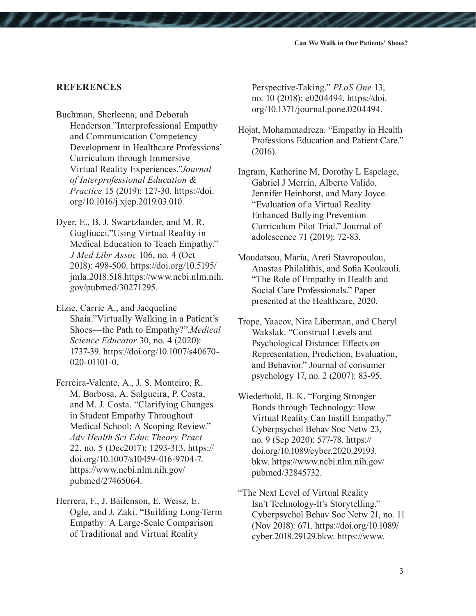#### **REFERENCES**

- Buchman, Sherleena, and Deborah Henderson."Interprofessional Empathy and Communication Competency Development in Healthcare Professions' Curriculum through Immersive Virtual Reality Experiences."*Journal of Interprofessional Education & Practice* 15 (2019): 127-30. https://doi. org/10.1016/j.xjep.2019.03.010.
- Dyer, E., B. J. Swartzlander, and M. R. Gugliucci."Using Virtual Reality in Medical Education to Teach Empathy." *J Med Libr Assoc* 106, no. 4 (Oct 2018): 498-500. https://doi.org/10.5195/ jmla.2018.518.https://www.ncbi.nlm.nih. gov/pubmed/30271295.
- Elzie, Carrie A., and Jacqueline Shaia."Virtually Walking in a Patient's Shoes—the Path to Empathy?".*Medical Science Educator* 30, no. 4 (2020): 1737-39. https://doi.org/10.1007/s40670- 020-01101-0.
- Ferreira-Valente, A., J. S. Monteiro, R. M. Barbosa, A. Salgueira, P. Costa, and M. J. Costa. "Clarifying Changes in Student Empathy Throughout Medical School: A Scoping Review." *Adv Health Sci Educ Theory Pract*  22, no. 5 (Dec2017): 1293-313. https:// doi.org/10.1007/s10459-016-9704-7. https://www.ncbi.nlm.nih.gov/ pubmed/27465064.
- Herrera, F., J. Bailenson, E. Weisz, E. Ogle, and J. Zaki. "Building Long-Term Empathy: A Large-Scale Comparison of Traditional and Virtual Reality

Perspective-Taking." *PLoS One* 13, no. 10 (2018): e0204494. https://doi. org/10.1371/journal.pone.0204494.

- Hojat, Mohammadreza. "Empathy in Health Professions Education and Patient Care." (2016).
- Ingram, Katherine M, Dorothy L Espelage, Gabriel J Merrin, Alberto Valido, Jennifer Heinhorst, and Mary Joyce. "Evaluation of a Virtual Reality Enhanced Bullying Prevention Curriculum Pilot Trial." Journal of adolescence 71 (2019): 72-83.
- Moudatsou, Maria, Areti Stavropoulou, Anastas Philalithis, and Sofia Koukouli. "The Role of Empathy in Health and Social Care Professionals." Paper presented at the Healthcare, 2020.
- Trope, Yaacov, Nira Liberman, and Cheryl Wakslak. "Construal Levels and Psychological Distance: Effects on Representation, Prediction, Evaluation, and Behavior." Journal of consumer psychology 17, no. 2 (2007): 83-95.
- Wiederhold, B. K. "Forging Stronger Bonds through Technology: How Virtual Reality Can Instill Empathy." Cyberpsychol Behav Soc Netw 23, no. 9 (Sep 2020): 577-78. https:// doi.org/10.1089/cyber.2020.29193. bkw. https://www.ncbi.nlm.nih.gov/ pubmed/32845732.
- "The Next Level of Virtual Reality Isn't Technology-It's Storytelling." Cyberpsychol Behav Soc Netw 21, no. 11 (Nov 2018): 671. https://doi.org/10.1089/ cyber.2018.29129.bkw. https://www.